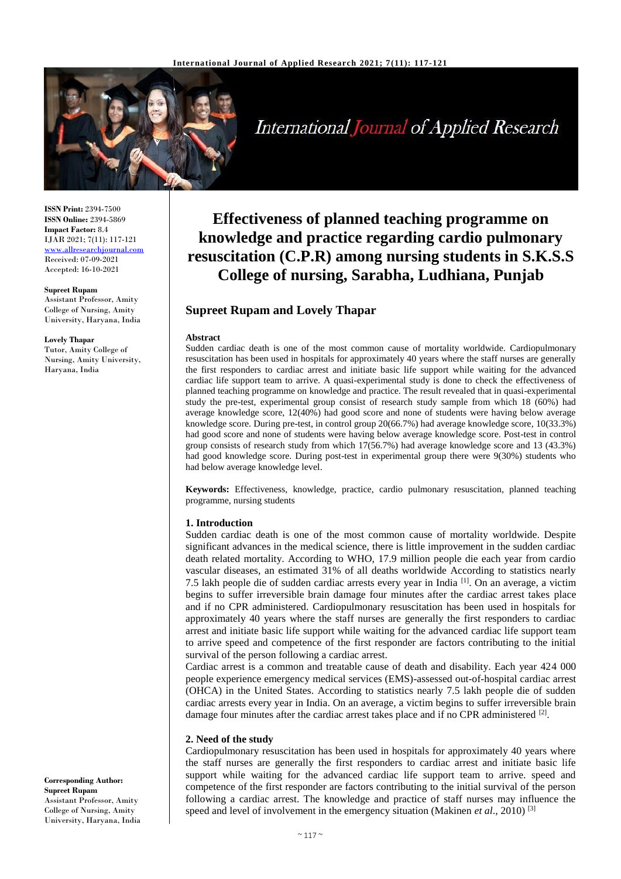

**International Journal of Applied Research** 

**ISSN Print:** 2394-7500 **ISSN Online:** 2394-5869 **Impact Factor:** 8.4 IJAR 2021; 7(11): 117-121 [www.allresearchjournal.com](http://www.allresearchjournal.com/) Received: 07-09-2021 Accepted: 16-10-2021

#### **Supreet Rupam**

Assistant Professor, Amity College of Nursing, Amity University, Haryana, India

#### **Lovely Thapar**

Tutor, Amity College of Nursing, Amity University, Haryana, India

**Effectiveness of planned teaching programme on knowledge and practice regarding cardio pulmonary resuscitation (C.P.R) among nursing students in S.K.S.S College of nursing, Sarabha, Ludhiana, Punjab**

# **Supreet Rupam and Lovely Thapar**

#### **Abstract**

Sudden cardiac death is one of the most common cause of mortality worldwide. Cardiopulmonary resuscitation has been used in hospitals for approximately 40 years where the staff nurses are generally the first responders to cardiac arrest and initiate basic life support while waiting for the advanced cardiac life support team to arrive. A quasi-experimental study is done to check the effectiveness of planned teaching programme on knowledge and practice. The result revealed that in quasi-experimental study the pre-test, experimental group consist of research study sample from which 18 (60%) had average knowledge score, 12(40%) had good score and none of students were having below average knowledge score. During pre-test, in control group 20(66.7%) had average knowledge score, 10(33.3%) had good score and none of students were having below average knowledge score. Post-test in control group consists of research study from which 17(56.7%) had average knowledge score and 13 (43.3%) had good knowledge score. During post-test in experimental group there were 9(30%) students who had below average knowledge level.

**Keywords:** Effectiveness, knowledge, practice, cardio pulmonary resuscitation, planned teaching programme, nursing students

#### **1. Introduction**

Sudden cardiac death is one of the most common cause of mortality worldwide. Despite significant advances in the medical science, there is little improvement in the sudden cardiac death related mortality. According to WHO, 17.9 million people die each year from cardio vascular diseases, an estimated 31% of all deaths worldwide According to statistics nearly 7.5 lakh people die of sudden cardiac arrests every year in India [1]. On an average, a victim begins to suffer irreversible brain damage four minutes after the cardiac arrest takes place and if no CPR administered. Cardiopulmonary resuscitation has been used in hospitals for approximately 40 years where the staff nurses are generally the first responders to cardiac arrest and initiate basic life support while waiting for the advanced cardiac life support team to arrive speed and competence of the first responder are factors contributing to the initial survival of the person following a cardiac arrest.

Cardiac arrest is a common and treatable cause of death and disability. Each year 424 000 people experience emergency medical services (EMS)-assessed out-of-hospital cardiac arrest (OHCA) in the United States. According to statistics nearly 7.5 lakh people die of sudden cardiac arrests every year in India. On an average, a victim begins to suffer irreversible brain damage four minutes after the cardiac arrest takes place and if no CPR administered <sup>[2]</sup>.

#### **2. Need of the study**

Cardiopulmonary resuscitation has been used in hospitals for approximately 40 years where the staff nurses are generally the first responders to cardiac arrest and initiate basic life support while waiting for the advanced cardiac life support team to arrive. speed and competence of the first responder are factors contributing to the initial survival of the person following a cardiac arrest. The knowledge and practice of staff nurses may influence the speed and level of involvement in the emergency situation (Makinen *et al*., 2010) [3]

**Corresponding Author: Supreet Rupam** Assistant Professor, Amity College of Nursing, Amity University, Haryana, India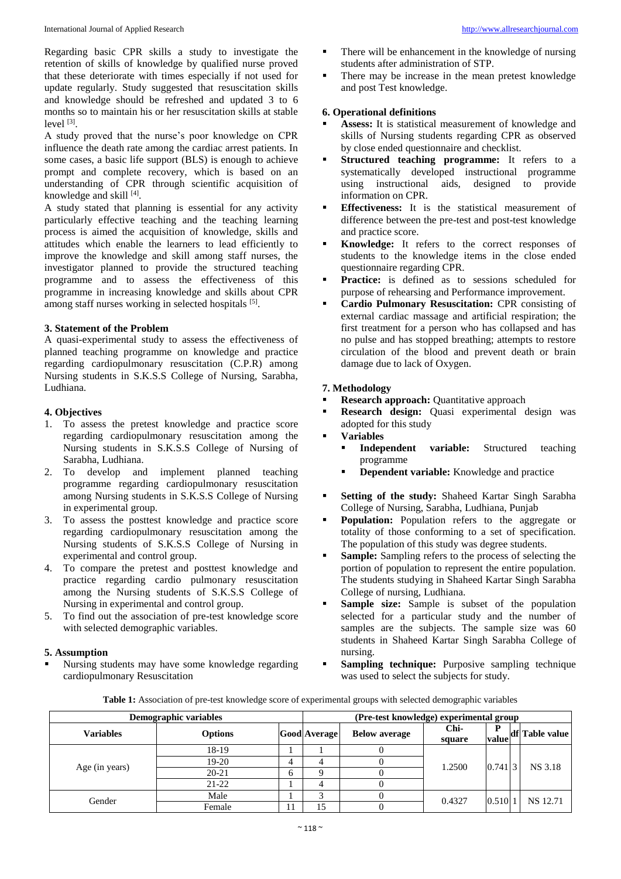Regarding basic CPR skills a study to investigate the retention of skills of knowledge by qualified nurse proved that these deteriorate with times especially if not used for update regularly. Study suggested that resuscitation skills and knowledge should be refreshed and updated 3 to 6 months so to maintain his or her resuscitation skills at stable level [3].

A study proved that the nurse's poor knowledge on CPR influence the death rate among the cardiac arrest patients. In some cases, a basic life support (BLS) is enough to achieve prompt and complete recovery, which is based on an understanding of CPR through scientific acquisition of knowledge and skill [4].

A study stated that planning is essential for any activity particularly effective teaching and the teaching learning process is aimed the acquisition of knowledge, skills and attitudes which enable the learners to lead efficiently to improve the knowledge and skill among staff nurses, the investigator planned to provide the structured teaching programme and to assess the effectiveness of this programme in increasing knowledge and skills about CPR among staff nurses working in selected hospitals [5].

## **3. Statement of the Problem**

A quasi-experimental study to assess the effectiveness of planned teaching programme on knowledge and practice regarding cardiopulmonary resuscitation (C.P.R) among Nursing students in S.K.S.S College of Nursing, Sarabha, Ludhiana.

## **4. Objectives**

- 1. To assess the pretest knowledge and practice score regarding cardiopulmonary resuscitation among the Nursing students in S.K.S.S College of Nursing of Sarabha, Ludhiana.
- 2. To develop and implement planned teaching programme regarding cardiopulmonary resuscitation among Nursing students in S.K.S.S College of Nursing in experimental group.
- 3. To assess the posttest knowledge and practice score regarding cardiopulmonary resuscitation among the Nursing students of S.K.S.S College of Nursing in experimental and control group.
- 4. To compare the pretest and posttest knowledge and practice regarding cardio pulmonary resuscitation among the Nursing students of S.K.S.S College of Nursing in experimental and control group.
- 5. To find out the association of pre-test knowledge score with selected demographic variables.

### **5. Assumption**

 Nursing students may have some knowledge regarding cardiopulmonary Resuscitation

- There will be enhancement in the knowledge of nursing students after administration of STP.
- There may be increase in the mean pretest knowledge and post Test knowledge.

## **6. Operational definitions**

- **Assess:** It is statistical measurement of knowledge and skills of Nursing students regarding CPR as observed by close ended questionnaire and checklist.
- **Structured teaching programme:** It refers to a systematically developed instructional programme using instructional aids, designed to provide information on CPR.
- **Effectiveness:** It is the statistical measurement of difference between the pre-test and post-test knowledge and practice score.
- **Knowledge:** It refers to the correct responses of students to the knowledge items in the close ended questionnaire regarding CPR.
- Practice: is defined as to sessions scheduled for purpose of rehearsing and Performance improvement.
- **Cardio Pulmonary Resuscitation:** CPR consisting of external cardiac massage and artificial respiration; the first treatment for a person who has collapsed and has no pulse and has stopped breathing; attempts to restore circulation of the blood and prevent death or brain damage due to lack of Oxygen.

## **7. Methodology**

- **Research approach:** Quantitative approach
- **Research design:** Quasi experimental design was adopted for this study
- **Variables**
	- **Independent variable:** Structured teaching programme
	- **Dependent variable:** Knowledge and practice
- **Setting of the study:** Shaheed Kartar Singh Sarabha College of Nursing, Sarabha, Ludhiana, Punjab
- **Population:** Population refers to the aggregate or totality of those conforming to a set of specification. The population of this study was degree students.
- **Sample:** Sampling refers to the process of selecting the portion of population to represent the entire population. The students studying in Shaheed Kartar Singh Sarabha College of nursing, Ludhiana.
- **Sample size:** Sample is subset of the population selected for a particular study and the number of samples are the subjects. The sample size was 60 students in Shaheed Kartar Singh Sarabha College of nursing.
- **Sampling technique:** Purposive sampling technique was used to select the subjects for study.

**Table 1:** Association of pre-test knowledge score of experimental groups with selected demographic variables

| Demographic variables |                |   | (Pre-test knowledge) experimental group |                      |                |            |  |                 |
|-----------------------|----------------|---|-----------------------------------------|----------------------|----------------|------------|--|-----------------|
| <b>Variables</b>      | <b>Options</b> |   | <b>Good Average</b>                     | <b>Below average</b> | Chi-<br>square | D<br>value |  | df Table value  |
| Age (in years)        | 18-19          |   |                                         |                      | 1.2500         | 0.74113    |  | <b>NS</b> 3.18  |
|                       | $19-20$        | 4 |                                         |                      |                |            |  |                 |
|                       | $20 - 21$      | O |                                         |                      |                |            |  |                 |
|                       | $21-22$        |   |                                         |                      |                |            |  |                 |
| Gender                | Male           |   |                                         |                      | 0.4327         | 0.510      |  | <b>NS</b> 12.71 |
|                       | Female         |   |                                         |                      |                |            |  |                 |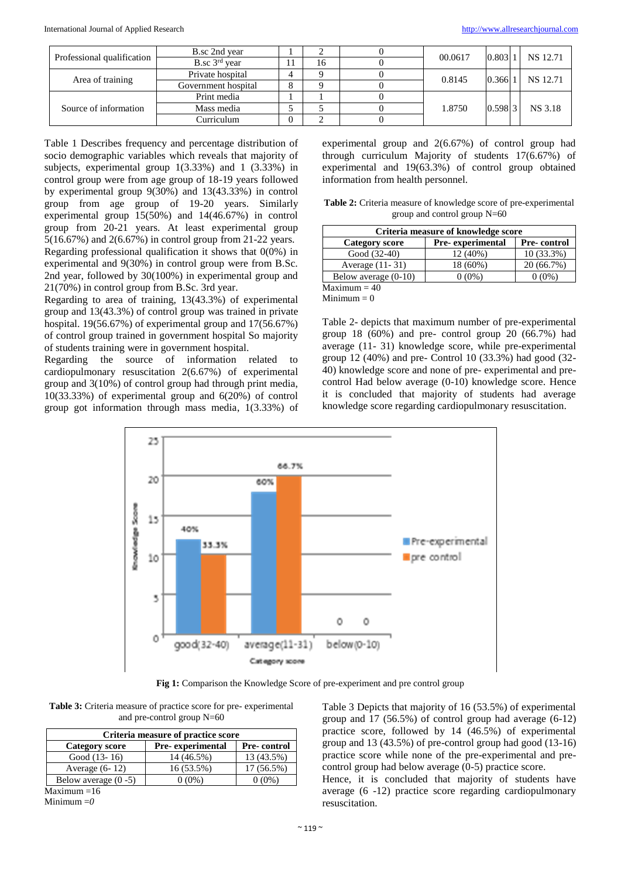| Professional qualification | B.sc 2nd year       |   |    |  | 00.0617 | 0.803   |  | NS 12.71 |
|----------------------------|---------------------|---|----|--|---------|---------|--|----------|
|                            | B.sc $3rd$ year     |   | 16 |  |         |         |  |          |
| Area of training           | Private hospital    | 4 |    |  | 0.8145  | 0.366   |  | NS 12.71 |
|                            | Government hospital | 8 |    |  |         |         |  |          |
| Source of information      | Print media         |   |    |  | 1.8750  | 0.59813 |  | NS 3.18  |
|                            | Mass media          |   |    |  |         |         |  |          |
|                            | Curriculum          | U |    |  |         |         |  |          |

Table 1 Describes frequency and percentage distribution of socio demographic variables which reveals that majority of subjects, experimental group 1(3.33%) and 1 (3.33%) in control group were from age group of 18-19 years followed by experimental group 9(30%) and 13(43.33%) in control group from age group of 19-20 years. Similarly experimental group 15(50%) and 14(46.67%) in control group from 20-21 years. At least experimental group 5(16.67%) and 2(6.67%) in control group from 21-22 years. Regarding professional qualification it shows that  $0(0\%)$  in experimental and 9(30%) in control group were from B.Sc. 2nd year, followed by 30(100%) in experimental group and 21(70%) in control group from B.Sc. 3rd year.

Regarding to area of training, 13(43.3%) of experimental group and 13(43.3%) of control group was trained in private hospital. 19(56.67%) of experimental group and 17(56.67%) of control group trained in government hospital So majority of students training were in government hospital.

Regarding the source of information related to cardiopulmonary resuscitation 2(6.67%) of experimental group and 3(10%) of control group had through print media, 10(33.33%) of experimental group and 6(20%) of control group got information through mass media, 1(3.33%) of experimental group and 2(6.67%) of control group had through curriculum Majority of students 17(6.67%) of experimental and 19(63.3%) of control group obtained information from health personnel.

**Table 2:** Criteria measure of knowledge score of pre-experimental group and control group N=60

| Criteria measure of knowledge score |                  |             |  |  |  |  |
|-------------------------------------|------------------|-------------|--|--|--|--|
| <b>Category score</b>               | Pre-experimental | Pre-control |  |  |  |  |
| Good (32-40)                        | 12 (40%)         | 10 (33.3%)  |  |  |  |  |
| Average (11-31)                     | 18 (60%)         | 20 (66.7%)  |  |  |  |  |
| Below average $(0-10)$              | $0(0\%)$         | $0(0\%)$    |  |  |  |  |
| $Maximum = 40$                      |                  |             |  |  |  |  |

 $Minimum = 0$ 

Table 2- depicts that maximum number of pre-experimental group 18 (60%) and pre- control group 20 (66.7%) had average (11- 31) knowledge score, while pre-experimental group 12 (40%) and pre- Control 10 (33.3%) had good (32- 40) knowledge score and none of pre- experimental and precontrol Had below average (0-10) knowledge score. Hence it is concluded that majority of students had average knowledge score regarding cardiopulmonary resuscitation.



**Fig 1:** Comparison the Knowledge Score of pre-experiment and pre control group

**Table 3:** Criteria measure of practice score for pre- experimental and pre-control group N=60

| Criteria measure of practice score |                  |             |  |  |  |  |
|------------------------------------|------------------|-------------|--|--|--|--|
| <b>Category score</b>              | Pre-experimental | Pre-control |  |  |  |  |
| Good $(13-16)$                     | 14 (46.5%)       | 13 (43.5%)  |  |  |  |  |
| Average $(6-12)$                   | 16 (53.5%)       | 17 (56.5%)  |  |  |  |  |
| Below average $(0 - 5)$            | 0 (0%)           | $0(0\%)$    |  |  |  |  |
| $M_{\rm max}$ : $\sim$ $16$        |                  |             |  |  |  |  |

Maximum  $=16$ Minimum =*0*

Table 3 Depicts that majority of 16 (53.5%) of experimental group and 17 (56.5%) of control group had average (6-12) practice score, followed by 14 (46.5%) of experimental group and 13 (43.5%) of pre-control group had good (13-16) practice score while none of the pre-experimental and precontrol group had below average (0-5) practice score.

Hence, it is concluded that majority of students have average (6 -12) practice score regarding cardiopulmonary resuscitation.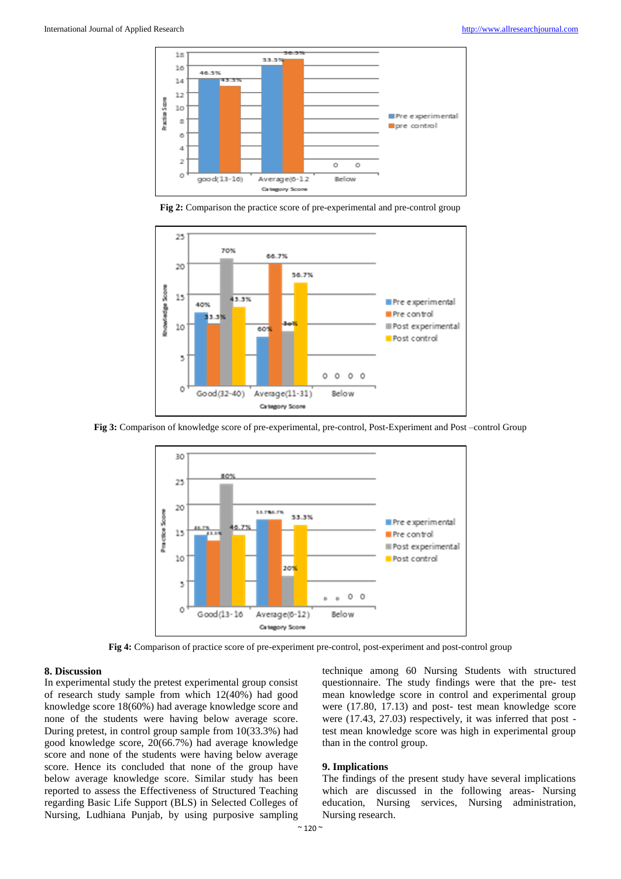

**Fig 2:** Comparison the practice score of pre-experimental and pre-control group



**Fig 3:** Comparison of knowledge score of pre-experimental, pre-control, Post-Experiment and Post –control Group



**Fig 4:** Comparison of practice score of pre-experiment pre-control, post-experiment and post-control group

### **8. Discussion**

In experimental study the pretest experimental group consist of research study sample from which 12(40%) had good knowledge score 18(60%) had average knowledge score and none of the students were having below average score. During pretest, in control group sample from 10(33.3%) had good knowledge score, 20(66.7%) had average knowledge score and none of the students were having below average score. Hence its concluded that none of the group have below average knowledge score. Similar study has been reported to assess the Effectiveness of Structured Teaching regarding Basic Life Support (BLS) in Selected Colleges of Nursing, Ludhiana Punjab, by using purposive sampling

technique among 60 Nursing Students with structured questionnaire. The study findings were that the pre- test mean knowledge score in control and experimental group were (17.80, 17.13) and post- test mean knowledge score were (17.43, 27.03) respectively, it was inferred that post test mean knowledge score was high in experimental group than in the control group.

### **9. Implications**

The findings of the present study have several implications which are discussed in the following areas- Nursing education, Nursing services, Nursing administration, Nursing research.